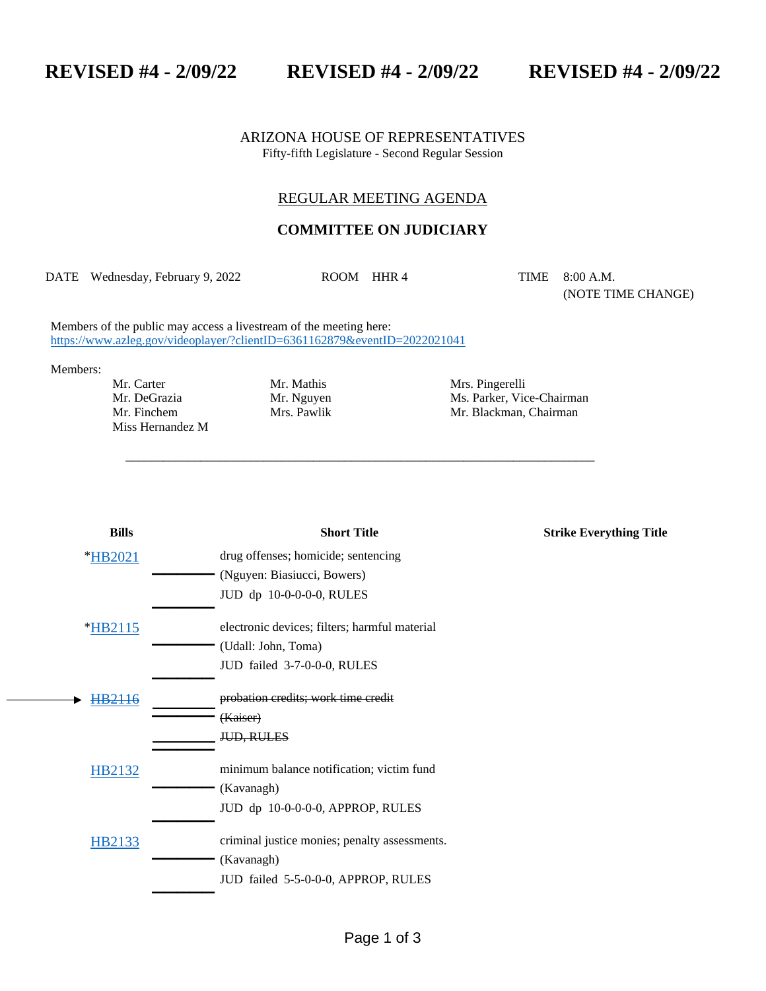**REVISED #4 - 2/09/22 REVISED #4 - 2/09/22 REVISED #4 - 2/09/22**

ARIZONA HOUSE OF REPRESENTATIVES Fifty-fifth Legislature - Second Regular Session

## REGULAR MEETING AGENDA

## **COMMITTEE ON JUDICIARY**

DATE Wednesday, February 9, 2022 ROOM HHR 4 TIME 8:00 A.M.

\_\_\_\_\_\_\_\_\_\_\_\_\_\_\_\_\_\_\_\_\_\_\_\_\_\_\_\_\_\_\_\_\_\_\_\_\_\_\_\_\_\_\_\_\_\_\_\_\_\_\_\_\_\_\_\_\_\_\_\_\_\_\_\_\_\_\_\_\_\_\_\_\_\_\_

(NOTE TIME CHANGE)

Members of the public may access a livestream of the meeting here: <https://www.azleg.gov/videoplayer/?clientID=6361162879&eventID=2022021041>

Members:

Mr. Carter Mr. Mathis Mrs. Pingerelli<br>
Mr. DeGrazia Mr. Mguyen Mrs. Parker, Vic<br>
Mr. Finchem Mrs. Pawlik Mr. Blackman, Miss Hernandez M

Mr. DeGrazia Mr. Nguyen Ms. Parker, Vice-Chairman Mr. Finchem Mrs. Pawlik Mrs. Pawlik Mr. Blackman, Chairman

| <b>Bills</b> | <b>Short Title</b>                            | <b>Strike Everything Title</b> |
|--------------|-----------------------------------------------|--------------------------------|
| *HB2021      | drug offenses; homicide; sentencing           |                                |
|              | (Nguyen: Biasiucci, Bowers)                   |                                |
|              | JUD dp 10-0-0-0-0, RULES                      |                                |
| *HB2115      | electronic devices; filters; harmful material |                                |
|              | (Udall: John, Toma)                           |                                |
|              | JUD failed 3-7-0-0-0, RULES                   |                                |
| HB2116       | probation credits; work time credit           |                                |
|              | (Kaiser)                                      |                                |
|              | <b>JUD, RULES</b>                             |                                |
| HB2132       | minimum balance notification; victim fund     |                                |
|              | (Kavanagh)                                    |                                |
|              | JUD dp 10-0-0-0-0, APPROP, RULES              |                                |
| HB2133       | criminal justice monies; penalty assessments. |                                |
|              | (Kavanagh)                                    |                                |
|              | JUD failed 5-5-0-0-0, APPROP, RULES           |                                |
|              |                                               |                                |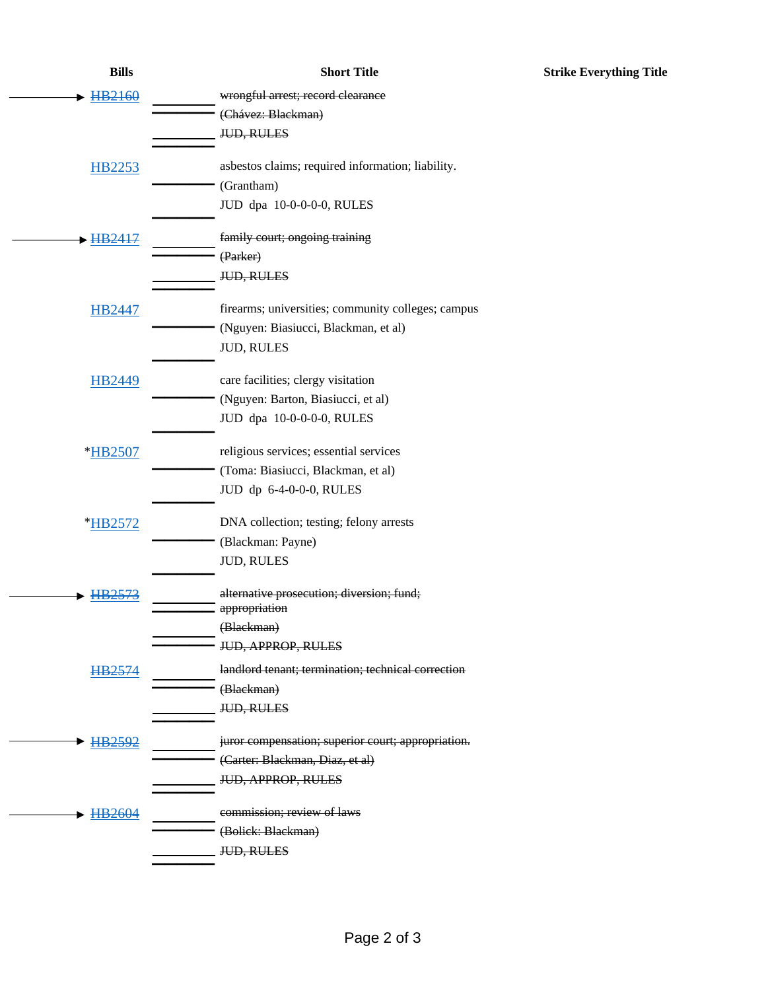| <b>Bills</b>         | <b>Short Title</b>                                        |
|----------------------|-----------------------------------------------------------|
| HB2160               | wrongful arrest; record clearance                         |
|                      | (Chávez: Blackman)                                        |
|                      | JUD, RULES                                                |
|                      |                                                           |
| HB2253               | asbestos claims; required information; liability.         |
|                      | (Grantham)                                                |
|                      | JUD dpa 10-0-0-0-0, RULES                                 |
| - HB <sub>2417</sub> | family court; ongoing training                            |
|                      | (Parker)                                                  |
|                      | <b>JUD, RULES</b>                                         |
|                      |                                                           |
| HB2447               | firearms; universities; community colleges; campus        |
|                      | (Nguyen: Biasiucci, Blackman, et al)<br><b>JUD, RULES</b> |
|                      |                                                           |
| <b>HB2449</b>        | care facilities; clergy visitation                        |
|                      | (Nguyen: Barton, Biasiucci, et al)                        |
|                      | JUD dpa 10-0-0-0-0, RULES                                 |
| *HB2507              | religious services; essential services                    |
|                      | (Toma: Biasiucci, Blackman, et al)                        |
|                      | JUD dp 6-4-0-0-0, RULES                                   |
|                      |                                                           |
| *HB2572              | DNA collection; testing; felony arrests                   |
|                      | (Blackman: Payne)                                         |
|                      | <b>JUD, RULES</b>                                         |
|                      | alternative prosecution; diversion; fund;                 |
|                      | appropriation                                             |
|                      | (Blackman)                                                |
|                      | <b>JUD, APPROP, RULES</b>                                 |
| HB2574               | landlord tenant; termination; technical correction        |
|                      | (Blackman)                                                |
|                      | <b>JUD, RULES</b>                                         |
| HB2592               | juror compensation; superior court; appropriation.        |
|                      | (Carter: Blackman, Diaz, et al)                           |
|                      | <b>JUD, APPROP, RULES</b>                                 |
| HB2604               | commission; review of laws                                |
|                      | (Bolick: Blackman)                                        |
|                      | <b>JUD, RULES</b>                                         |
|                      |                                                           |